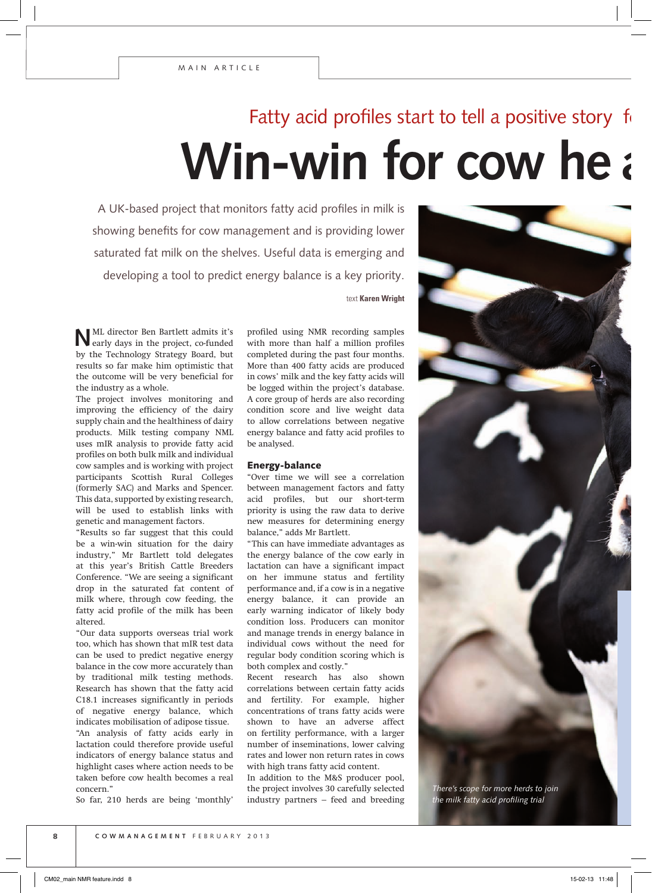## **Win-win for cow he** Fatty acid profiles start to tell a positive story

A UK-based project that monitors fatty acid profiles in milk is showing benefits for cow management and is providing lower saturated fat milk on the shelves. Useful data is emerging and developing a tool to predict energy balance is a key priority.

text **Karen Wright**

**N**ML director Ben Bartlett admits it's early days in the project, co-funded by the Technology Strategy Board, but results so far make him optimistic that the outcome will be very beneficial for the industry as a whole.

The project involves monitoring and improving the efficiency of the dairy supply chain and the healthiness of dairy products. Milk testing company NML uses mIR analysis to provide fatty acid profiles on both bulk milk and individual cow samples and is working with project participants Scottish Rural Colleges (formerly SAC) and Marks and Spencer. This data, supported by existing research, will be used to establish links with genetic and management factors.

"Results so far suggest that this could be a win-win situation for the dairy industry," Mr Bartlett told delegates at this year's British Cattle Breeders Conference. "We are seeing a significant drop in the saturated fat content of milk where, through cow feeding, the fatty acid profile of the milk has been altered.

"Our data supports overseas trial work too, which has shown that mIR test data can be used to predict negative energy balance in the cow more accurately than by traditional milk testing methods. Research has shown that the fatty acid C18.1 increases significantly in periods of negative energy balance, which indicates mobilisation of adipose tissue. "An analysis of fatty acids early in lactation could therefore provide useful indicators of energy balance status and highlight cases where action needs to be taken before cow health becomes a real concern."

So far, 210 herds are being 'monthly'

profiled using NMR recording samples with more than half a million profiles completed during the past four months. More than 400 fatty acids are produced in cows' milk and the key fatty acids will be logged within the project's database. A core group of herds are also recording condition score and live weight data to allow correlations between negative energy balance and fatty acid profiles to be analysed.

### Energy-balance

"Over time we will see a correlation between management factors and fatty acid profiles, but our short-term priority is using the raw data to derive new measures for determining energy balance," adds Mr Bartlett.

"This can have immediate advantages as the energy balance of the cow early in lactation can have a significant impact on her immune status and fertility performance and, if a cow is in a negative energy balance, it can provide an early warning indicator of likely body condition loss. Producers can monitor and manage trends in energy balance in individual cows without the need for regular body condition scoring which is both complex and costly."

Recent research has also shown correlations between certain fatty acids and fertility. For example, higher concentrations of trans fatty acids were shown to have an adverse affect on fertility performance, with a larger number of inseminations, lower calving rates and lower non return rates in cows with high trans fatty acid content.

In addition to the M&S producer pool, the project involves 30 carefully selected industry partners – feed and breeding



*There's scope for more herds to join the milk fatty acid profiling trial*